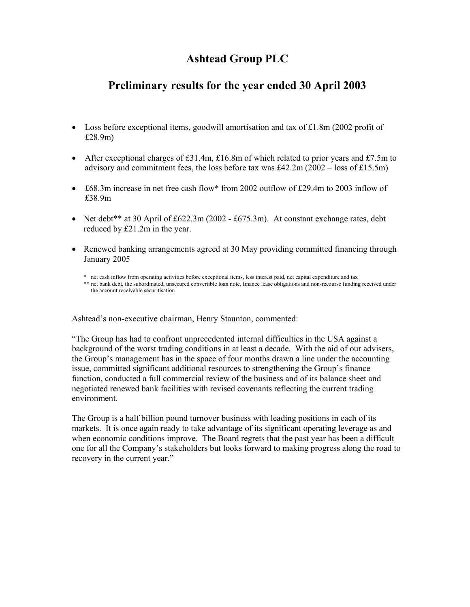# **Ashtead Group PLC**

# **Preliminary results for the year ended 30 April 2003**

- Loss before exceptional items, goodwill amortisation and tax of £1.8m (2002 profit of £28.9m)
- After exceptional charges of £31.4m, £16.8m of which related to prior years and £7.5m to advisory and commitment fees, the loss before tax was  $\text{\pounds}42.2m \cdot (2002 - \text{loss of } \text{\pounds}15.5m)$
- £68.3m increase in net free cash flow\* from 2002 outflow of £29.4m to 2003 inflow of £38.9m
- Net debt\*\* at 30 April of £622.3m (2002 £675.3m). At constant exchange rates, debt reduced by £21.2m in the year.
- Renewed banking arrangements agreed at 30 May providing committed financing through January 2005

\* net cash inflow from operating activities before exceptional items, less interest paid, net capital expenditure and tax

\*\* net bank debt, the subordinated, unsecured convertible loan note, finance lease obligations and non-recourse funding received under the account receivable securitisation

Ashtead's non-executive chairman, Henry Staunton, commented:

"The Group has had to confront unprecedented internal difficulties in the USA against a background of the worst trading conditions in at least a decade. With the aid of our advisers, the Group's management has in the space of four months drawn a line under the accounting issue, committed significant additional resources to strengthening the Group's finance function, conducted a full commercial review of the business and of its balance sheet and negotiated renewed bank facilities with revised covenants reflecting the current trading environment.

The Group is a half billion pound turnover business with leading positions in each of its markets. It is once again ready to take advantage of its significant operating leverage as and when economic conditions improve. The Board regrets that the past year has been a difficult one for all the Company's stakeholders but looks forward to making progress along the road to recovery in the current year."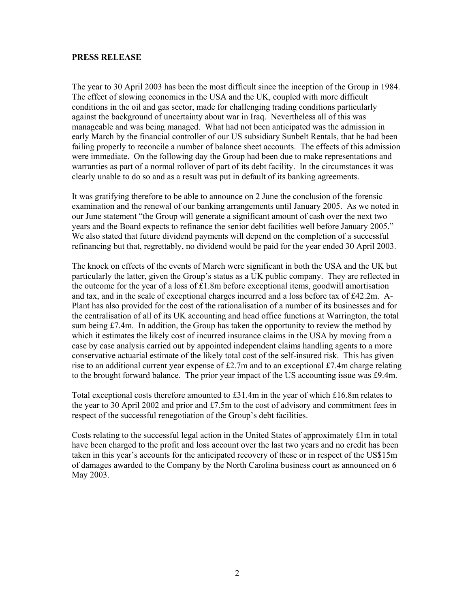# **PRESS RELEASE**

The year to 30 April 2003 has been the most difficult since the inception of the Group in 1984. The effect of slowing economies in the USA and the UK, coupled with more difficult conditions in the oil and gas sector, made for challenging trading conditions particularly against the background of uncertainty about war in Iraq. Nevertheless all of this was manageable and was being managed. What had not been anticipated was the admission in early March by the financial controller of our US subsidiary Sunbelt Rentals, that he had been failing properly to reconcile a number of balance sheet accounts. The effects of this admission were immediate. On the following day the Group had been due to make representations and warranties as part of a normal rollover of part of its debt facility. In the circumstances it was clearly unable to do so and as a result was put in default of its banking agreements.

It was gratifying therefore to be able to announce on 2 June the conclusion of the forensic examination and the renewal of our banking arrangements until January 2005. As we noted in our June statement "the Group will generate a significant amount of cash over the next two years and the Board expects to refinance the senior debt facilities well before January 2005." We also stated that future dividend payments will depend on the completion of a successful refinancing but that, regrettably, no dividend would be paid for the year ended 30 April 2003.

The knock on effects of the events of March were significant in both the USA and the UK but particularly the latter, given the Group's status as a UK public company. They are reflected in the outcome for the year of a loss of  $£1.8m$  before exceptional items, goodwill amortisation and tax, and in the scale of exceptional charges incurred and a loss before tax of £42.2m. A-Plant has also provided for the cost of the rationalisation of a number of its businesses and for the centralisation of all of its UK accounting and head office functions at Warrington, the total sum being  $\text{\textsterling}7.4m$ . In addition, the Group has taken the opportunity to review the method by which it estimates the likely cost of incurred insurance claims in the USA by moving from a case by case analysis carried out by appointed independent claims handling agents to a more conservative actuarial estimate of the likely total cost of the self-insured risk. This has given rise to an additional current year expense of £2.7m and to an exceptional £7.4m charge relating to the brought forward balance. The prior year impact of the US accounting issue was £9.4m.

Total exceptional costs therefore amounted to £31.4m in the year of which £16.8m relates to the year to 30 April 2002 and prior and  $£7.5m$  to the cost of advisory and commitment fees in respect of the successful renegotiation of the Group's debt facilities.

Costs relating to the successful legal action in the United States of approximately £1m in total have been charged to the profit and loss account over the last two years and no credit has been taken in this year's accounts for the anticipated recovery of these or in respect of the US\$15m of damages awarded to the Company by the North Carolina business court as announced on 6 May 2003.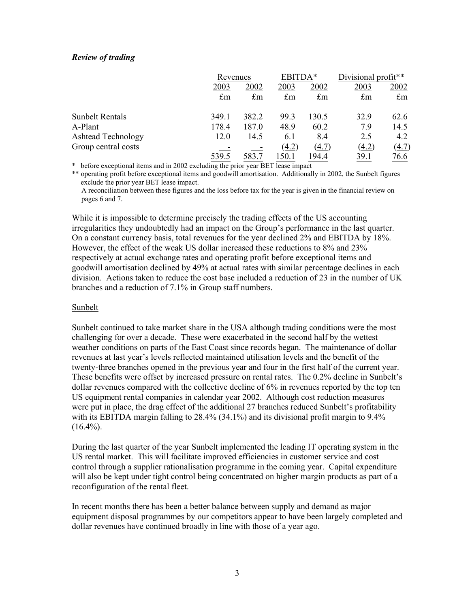# *Review of trading*

|                           |              | Revenues    |             | EBITDA*     | Divisional profit** |             |
|---------------------------|--------------|-------------|-------------|-------------|---------------------|-------------|
|                           | 2003         | 2002        | 2003        | 2002        | 2003                | 2002        |
|                           | $\pounds$ m  | $\pounds$ m | $\pounds$ m | £m          | $\pounds$ m         | $\pounds$ m |
| <b>Sunbelt Rentals</b>    | 349.1        | 382.2       | 99.3        | 130.5       | 329                 | 62.6        |
| A-Plant                   | 178.4        | 187.0       | 48.9        | 60.2        | 7.9                 | 14.5        |
| <b>Ashtead Technology</b> | 12.0         | 14.5        | 6.1         | 8.4         | 2.5                 | 4.2         |
| Group central costs       |              |             | (4.2)       | (4.7)       | (4.2)               | (4.7)       |
|                           | <u>539.5</u> |             | <u>50.1</u> | <u>94.4</u> | <u>39.1</u>         | <u>76.6</u> |

\* before exceptional items and in 2002 excluding the prior year BET lease impact

\*\* operating profit before exceptional items and goodwill amortisation. Additionally in 2002, the Sunbelt figures exclude the prior year BET lease impact.

 A reconciliation between these figures and the loss before tax for the year is given in the financial review on pages 6 and 7.

While it is impossible to determine precisely the trading effects of the US accounting irregularities they undoubtedly had an impact on the Group's performance in the last quarter. On a constant currency basis, total revenues for the year declined 2% and EBITDA by 18%. However, the effect of the weak US dollar increased these reductions to 8% and 23% respectively at actual exchange rates and operating profit before exceptional items and goodwill amortisation declined by 49% at actual rates with similar percentage declines in each division. Actions taken to reduce the cost base included a reduction of 23 in the number of UK branches and a reduction of 7.1% in Group staff numbers.

# Sunbelt

Sunbelt continued to take market share in the USA although trading conditions were the most challenging for over a decade. These were exacerbated in the second half by the wettest weather conditions on parts of the East Coast since records began. The maintenance of dollar revenues at last year's levels reflected maintained utilisation levels and the benefit of the twenty-three branches opened in the previous year and four in the first half of the current year. These benefits were offset by increased pressure on rental rates. The 0.2% decline in Sunbelt's dollar revenues compared with the collective decline of 6% in revenues reported by the top ten US equipment rental companies in calendar year 2002. Although cost reduction measures were put in place, the drag effect of the additional 27 branches reduced Sunbelt's profitability with its EBITDA margin falling to 28.4% (34.1%) and its divisional profit margin to 9.4%  $(16.4\%)$ .

During the last quarter of the year Sunbelt implemented the leading IT operating system in the US rental market. This will facilitate improved efficiencies in customer service and cost control through a supplier rationalisation programme in the coming year. Capital expenditure will also be kept under tight control being concentrated on higher margin products as part of a reconfiguration of the rental fleet.

In recent months there has been a better balance between supply and demand as major equipment disposal programmes by our competitors appear to have been largely completed and dollar revenues have continued broadly in line with those of a year ago.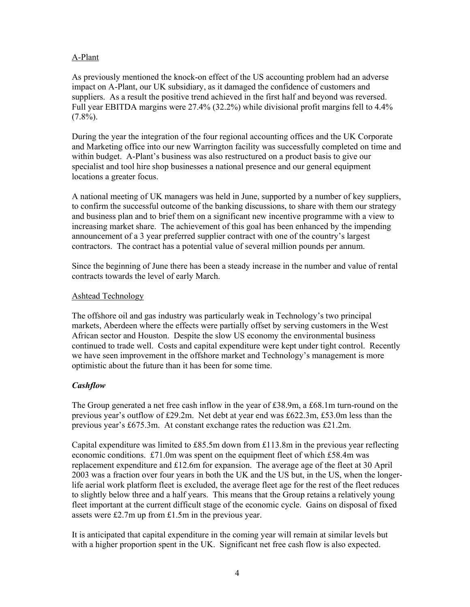# A-Plant

As previously mentioned the knock-on effect of the US accounting problem had an adverse impact on A-Plant, our UK subsidiary, as it damaged the confidence of customers and suppliers. As a result the positive trend achieved in the first half and beyond was reversed. Full year EBITDA margins were 27.4% (32.2%) while divisional profit margins fell to 4.4%  $(7.8\%)$ .

During the year the integration of the four regional accounting offices and the UK Corporate and Marketing office into our new Warrington facility was successfully completed on time and within budget. A-Plant's business was also restructured on a product basis to give our specialist and tool hire shop businesses a national presence and our general equipment locations a greater focus.

A national meeting of UK managers was held in June, supported by a number of key suppliers, to confirm the successful outcome of the banking discussions, to share with them our strategy and business plan and to brief them on a significant new incentive programme with a view to increasing market share. The achievement of this goal has been enhanced by the impending announcement of a 3 year preferred supplier contract with one of the country's largest contractors. The contract has a potential value of several million pounds per annum.

Since the beginning of June there has been a steady increase in the number and value of rental contracts towards the level of early March.

# Ashtead Technology

The offshore oil and gas industry was particularly weak in Technology's two principal markets, Aberdeen where the effects were partially offset by serving customers in the West African sector and Houston. Despite the slow US economy the environmental business continued to trade well. Costs and capital expenditure were kept under tight control. Recently we have seen improvement in the offshore market and Technology's management is more optimistic about the future than it has been for some time.

# *Cashflow*

The Group generated a net free cash inflow in the year of £38.9m, a £68.1m turn-round on the previous year's outflow of £29.2m. Net debt at year end was £622.3m, £53.0m less than the previous year's £675.3m. At constant exchange rates the reduction was £21.2m.

Capital expenditure was limited to £85.5m down from £113.8m in the previous year reflecting economic conditions. £71.0m was spent on the equipment fleet of which £58.4m was replacement expenditure and £12.6m for expansion. The average age of the fleet at 30 April 2003 was a fraction over four years in both the UK and the US but, in the US, when the longerlife aerial work platform fleet is excluded, the average fleet age for the rest of the fleet reduces to slightly below three and a half years. This means that the Group retains a relatively young fleet important at the current difficult stage of the economic cycle. Gains on disposal of fixed assets were £2.7m up from £1.5m in the previous year.

It is anticipated that capital expenditure in the coming year will remain at similar levels but with a higher proportion spent in the UK. Significant net free cash flow is also expected.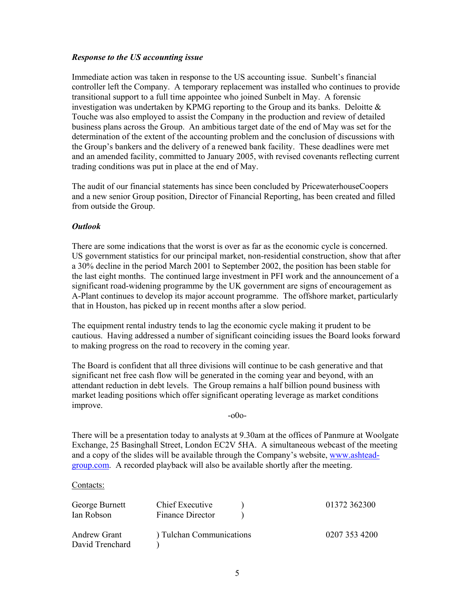# *Response to the US accounting issue*

Immediate action was taken in response to the US accounting issue. Sunbelt's financial controller left the Company. A temporary replacement was installed who continues to provide transitional support to a full time appointee who joined Sunbelt in May. A forensic investigation was undertaken by KPMG reporting to the Group and its banks. Deloitte  $\&$ Touche was also employed to assist the Company in the production and review of detailed business plans across the Group. An ambitious target date of the end of May was set for the determination of the extent of the accounting problem and the conclusion of discussions with the Group's bankers and the delivery of a renewed bank facility. These deadlines were met and an amended facility, committed to January 2005, with revised covenants reflecting current trading conditions was put in place at the end of May.

The audit of our financial statements has since been concluded by PricewaterhouseCoopers and a new senior Group position, Director of Financial Reporting, has been created and filled from outside the Group.

# *Outlook*

There are some indications that the worst is over as far as the economic cycle is concerned. US government statistics for our principal market, non-residential construction, show that after a 30% decline in the period March 2001 to September 2002, the position has been stable for the last eight months. The continued large investment in PFI work and the announcement of a significant road-widening programme by the UK government are signs of encouragement as A-Plant continues to develop its major account programme. The offshore market, particularly that in Houston, has picked up in recent months after a slow period.

The equipment rental industry tends to lag the economic cycle making it prudent to be cautious. Having addressed a number of significant coinciding issues the Board looks forward to making progress on the road to recovery in the coming year.

The Board is confident that all three divisions will continue to be cash generative and that significant net free cash flow will be generated in the coming year and beyond, with an attendant reduction in debt levels. The Group remains a half billion pound business with market leading positions which offer significant operating leverage as market conditions improve.

-o0o-

There will be a presentation today to analysts at 9.30am at the offices of Panmure at Woolgate Exchange, 25 Basinghall Street, London EC2V 5HA. A simultaneous webcast of the meeting and a copy of the slides will be available through the Company's website, www.ashteadgroup.com. A recorded playback will also be available shortly after the meeting.

Contacts:

| George Burnett<br>Ian Robson           | Chief Executive<br>Finance Director | 01372 362300  |
|----------------------------------------|-------------------------------------|---------------|
| <b>Andrew Grant</b><br>David Trenchard | ) Tulchan Communications            | 0207 353 4200 |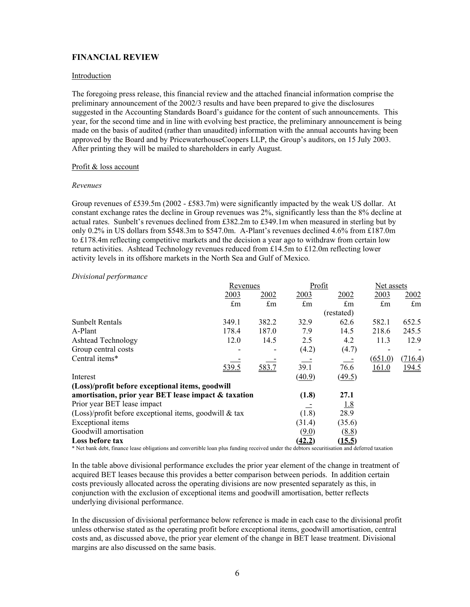# **FINANCIAL REVIEW**

#### Introduction

The foregoing press release, this financial review and the attached financial information comprise the preliminary announcement of the 2002/3 results and have been prepared to give the disclosures suggested in the Accounting Standards Board's guidance for the content of such announcements. This year, for the second time and in line with evolving best practice, the preliminary announcement is being made on the basis of audited (rather than unaudited) information with the annual accounts having been approved by the Board and by PricewaterhouseCoopers LLP, the Group's auditors, on 15 July 2003. After printing they will be mailed to shareholders in early August.

#### Profit & loss account

#### *Revenues*

Group revenues of £539.5m (2002 - £583.7m) were significantly impacted by the weak US dollar. At constant exchange rates the decline in Group revenues was 2%, significantly less than the 8% decline at actual rates. Sunbelt's revenues declined from £382.2m to £349.1m when measured in sterling but by only 0.2% in US dollars from \$548.3m to \$547.0m. A-Plant's revenues declined 4.6% from £187.0m to £178.4m reflecting competitive markets and the decision a year ago to withdraw from certain low return activities. Ashtead Technology revenues reduced from £14.5m to £12.0m reflecting lower activity levels in its offshore markets in the North Sea and Gulf of Mexico.

#### *Divisional performance*

|                                                          | Revenues |                         | Profit                  |                     | Net assets              |                         |
|----------------------------------------------------------|----------|-------------------------|-------------------------|---------------------|-------------------------|-------------------------|
|                                                          | 2003     | 2002                    | 2003                    | 2002                | 2003                    | 2002                    |
|                                                          | £m       | $\mathbf{f}_{\text{m}}$ | $\mathbf{f}_{\text{m}}$ | £m                  | $\mathbf{f}_{\text{m}}$ | $\mathbf{f}_{\text{m}}$ |
|                                                          |          |                         |                         | (restated)          |                         |                         |
| <b>Sunbelt Rentals</b>                                   | 349.1    | 382.2                   | 32.9                    | 62.6                | 582.1                   | 652.5                   |
| A-Plant                                                  | 178.4    | 187.0                   | 7.9                     | 14.5                | 218.6                   | 245.5                   |
| <b>Ashtead Technology</b>                                | 12.0     | 14.5                    | 2.5                     | 4.2                 | 11.3                    | 12.9                    |
| Group central costs                                      |          |                         | (4.2)                   | (4.7)               |                         |                         |
| Central items*                                           |          |                         |                         |                     | (651.0)                 | (716.4)                 |
|                                                          | 539.5    | 583.7                   | 39.1                    | 76.6                | 161.0                   | <u>194.5</u>            |
| Interest                                                 |          |                         | (40.9)                  | $\left(49.5\right)$ |                         |                         |
| (Loss)/profit before exceptional items, goodwill         |          |                         |                         |                     |                         |                         |
| amortisation, prior year BET lease impact & taxation     |          |                         | (1.8)                   | 27.1                |                         |                         |
| Prior year BET lease impact                              |          |                         |                         | <u>1.8</u>          |                         |                         |
| $(Loss)/profit$ before exceptional items, goodwill & tax |          |                         | (1.8)                   | 28.9                |                         |                         |
| Exceptional items                                        |          |                         | (31.4)                  | (35.6)              |                         |                         |
| Goodwill amortisation                                    |          |                         | (9.0)                   | (8.8)               |                         |                         |
| Loss before tax                                          |          |                         | (42.2)                  | (15.5)              |                         |                         |

\* Net bank debt, finance lease obligations and convertible loan plus funding received under the debtors securitisation and deferred taxation

In the table above divisional performance excludes the prior year element of the change in treatment of acquired BET leases because this provides a better comparison between periods. In addition certain costs previously allocated across the operating divisions are now presented separately as this, in conjunction with the exclusion of exceptional items and goodwill amortisation, better reflects underlying divisional performance.

In the discussion of divisional performance below reference is made in each case to the divisional profit unless otherwise stated as the operating profit before exceptional items, goodwill amortisation, central costs and, as discussed above, the prior year element of the change in BET lease treatment. Divisional margins are also discussed on the same basis.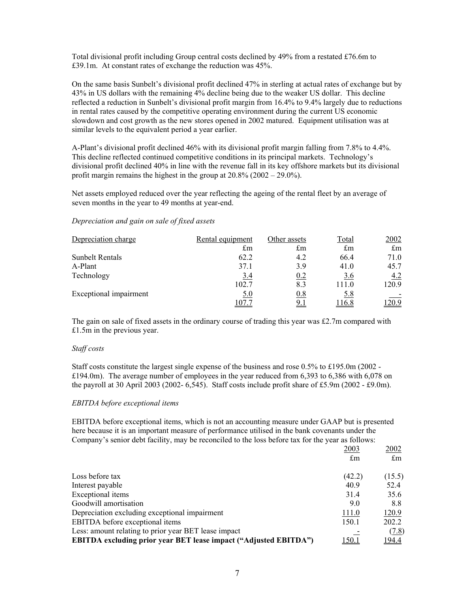Total divisional profit including Group central costs declined by 49% from a restated £76.6m to £39.1m. At constant rates of exchange the reduction was 45%.

On the same basis Sunbelt's divisional profit declined 47% in sterling at actual rates of exchange but by 43% in US dollars with the remaining 4% decline being due to the weaker US dollar. This decline reflected a reduction in Sunbelt's divisional profit margin from 16.4% to 9.4% largely due to reductions in rental rates caused by the competitive operating environment during the current US economic slowdown and cost growth as the new stores opened in 2002 matured. Equipment utilisation was at similar levels to the equivalent period a year earlier.

A-Plant's divisional profit declined 46% with its divisional profit margin falling from 7.8% to 4.4%. This decline reflected continued competitive conditions in its principal markets. Technology's divisional profit declined 40% in line with the revenue fall in its key offshore markets but its divisional profit margin remains the highest in the group at 20.8% (2002 – 29.0%).

Net assets employed reduced over the year reflecting the ageing of the rental fleet by an average of seven months in the year to 49 months at year-end.

#### *Depreciation and gain on sale of fixed assets*

| Depreciation charge    | Rental equipment | Other assets | Total                   | 2002        |
|------------------------|------------------|--------------|-------------------------|-------------|
|                        | £m               | $\pounds$ m  | $\mathbf{f}_{\text{m}}$ | $\pounds$ m |
| Sunbelt Rentals        | 62.2             | 4.2          | 66.4                    | 71.0        |
| A-Plant                | 37.1             | 3.9          | 41.0                    | 45.7        |
| Technology             | 3.4              | 0.2          | 3.6                     | 4.2         |
|                        | 102.7            | 8.3          | 111.0                   | 120.9       |
| Exceptional impairment | 5.0              | 0.8          | 5.8                     |             |
|                        | 107.7            | <u>9.1</u>   | 116.8                   | 20.9        |

The gain on sale of fixed assets in the ordinary course of trading this year was  $\text{\textsterling}2.7m$  compared with £1.5m in the previous year.

#### *Staff costs*

Staff costs constitute the largest single expense of the business and rose 0.5% to £195.0m (2002 - £194.0m). The average number of employees in the year reduced from 6,393 to 6,386 with 6,078 on the payroll at 30 April 2003 (2002- 6,545). Staff costs include profit share of £5.9m (2002 - £9.0m).

#### *EBITDA before exceptional items*

EBITDA before exceptional items, which is not an accounting measure under GAAP but is presented here because it is an important measure of performance utilised in the bank covenants under the Company's senior debt facility, may be reconciled to the loss before tax for the year as follows:

|                                                                         | 2003        | 2002        |
|-------------------------------------------------------------------------|-------------|-------------|
|                                                                         | $\pounds$ m | $\pounds$ m |
| Loss before tax                                                         | (42.2)      | (15.5)      |
| Interest payable                                                        | 40.9        | 52.4        |
| Exceptional items                                                       | 31.4        | 35.6        |
| Goodwill amortisation                                                   | 9.0         | 8.8         |
| Depreciation excluding exceptional impairment                           | 111.0       | 120.9       |
| EBITDA before exceptional items                                         | 150.1       | 202.2       |
| Less: amount relating to prior year BET lease impact                    |             | (7.8)       |
| <b>EBITDA</b> excluding prior year BET lease impact ("Adjusted EBITDA") | 150.1       | 194.4       |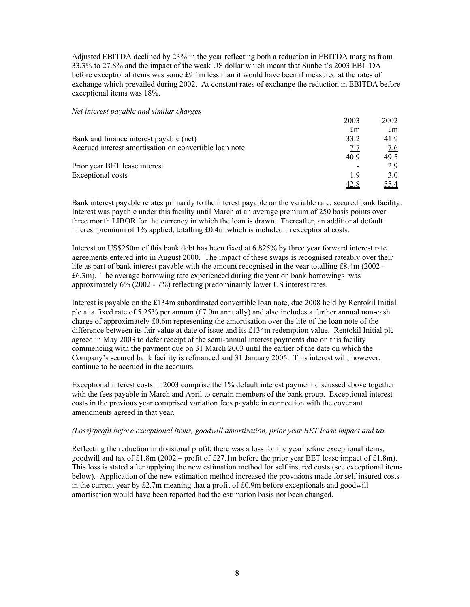Adjusted EBITDA declined by 23% in the year reflecting both a reduction in EBITDA margins from 33.3% to 27.8% and the impact of the weak US dollar which meant that Sunbelt's 2003 EBITDA before exceptional items was some £9.1m less than it would have been if measured at the rates of exchange which prevailed during 2002. At constant rates of exchange the reduction in EBITDA before exceptional items was 18%.

#### *Net interest payable and similar charges*

|                                                        | 2003       | 2002                    |
|--------------------------------------------------------|------------|-------------------------|
|                                                        | £m         | $\mathbf{f}_{\text{m}}$ |
| Bank and finance interest payable (net)                | 33.2       | 41.9                    |
| Accrued interest amortisation on convertible loan note | <u>7.7</u> | <u>7.6</u>              |
|                                                        | 40.9       | 49.5                    |
| Prior year BET lease interest                          |            | 29                      |
| <b>Exceptional costs</b>                               | 1.9        | 3.0                     |
|                                                        | 42.8       | 55.4                    |

Bank interest payable relates primarily to the interest payable on the variable rate, secured bank facility. Interest was payable under this facility until March at an average premium of 250 basis points over three month LIBOR for the currency in which the loan is drawn. Thereafter, an additional default interest premium of 1% applied, totalling £0.4m which is included in exceptional costs.

Interest on US\$250m of this bank debt has been fixed at 6.825% by three year forward interest rate agreements entered into in August 2000. The impact of these swaps is recognised rateably over their life as part of bank interest payable with the amount recognised in the year totalling £8.4m (2002 - £6.3m). The average borrowing rate experienced during the year on bank borrowings was approximately 6% (2002 - 7%) reflecting predominantly lower US interest rates.

Interest is payable on the £134m subordinated convertible loan note, due 2008 held by Rentokil Initial plc at a fixed rate of  $5.25\%$  per annum (£7.0m annually) and also includes a further annual non-cash charge of approximately £0.6m representing the amortisation over the life of the loan note of the difference between its fair value at date of issue and its £134m redemption value. Rentokil Initial plc agreed in May 2003 to defer receipt of the semi-annual interest payments due on this facility commencing with the payment due on 31 March 2003 until the earlier of the date on which the Company's secured bank facility is refinanced and 31 January 2005. This interest will, however, continue to be accrued in the accounts.

Exceptional interest costs in 2003 comprise the 1% default interest payment discussed above together with the fees payable in March and April to certain members of the bank group. Exceptional interest costs in the previous year comprised variation fees payable in connection with the covenant amendments agreed in that year.

#### *(Loss)/profit before exceptional items, goodwill amortisation, prior year BET lease impact and tax*

Reflecting the reduction in divisional profit, there was a loss for the year before exceptional items, goodwill and tax of £1.8m (2002 – profit of £27.1m before the prior year BET lease impact of £1.8m). This loss is stated after applying the new estimation method for self insured costs (see exceptional items below). Application of the new estimation method increased the provisions made for self insured costs in the current year by £2.7m meaning that a profit of £0.9m before exceptionals and goodwill amortisation would have been reported had the estimation basis not been changed.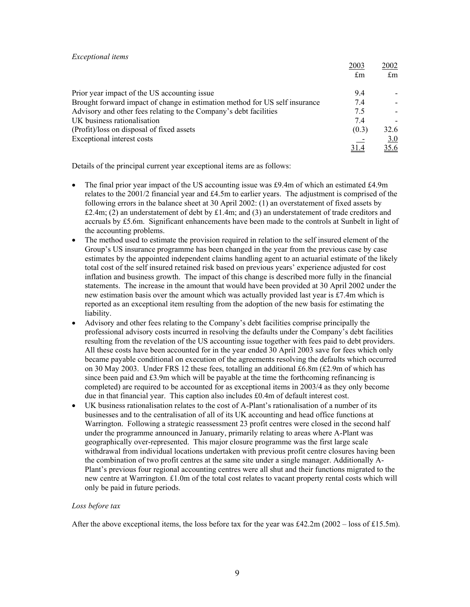#### *Exceptional items*

|                                                                             | 2003<br>£m | 2002-<br>$\pounds$ m |
|-----------------------------------------------------------------------------|------------|----------------------|
| Prior year impact of the US accounting issue.                               | 9.4        |                      |
| Brought forward impact of change in estimation method for US self insurance | 7.4        |                      |
| Advisory and other fees relating to the Company's debt facilities           | 7.5        |                      |
| UK business rationalisation                                                 | 7.4        |                      |
| (Profit)/loss on disposal of fixed assets                                   | (0.3)      | 32.6                 |
| Exceptional interest costs                                                  |            | 3.0                  |
|                                                                             |            | <u>35.6</u>          |

2003 2002

Details of the principal current year exceptional items are as follows:

- The final prior year impact of the US accounting issue was £9.4m of which an estimated £4.9m relates to the 2001/2 financial year and £4.5m to earlier years. The adjustment is comprised of the following errors in the balance sheet at 30 April 2002: (1) an overstatement of fixed assets by £2.4m; (2) an understatement of debt by £1.4m; and (3) an understatement of trade creditors and accruals by £5.6m. Significant enhancements have been made to the controls at Sunbelt in light of the accounting problems.
- The method used to estimate the provision required in relation to the self insured element of the Group's US insurance programme has been changed in the year from the previous case by case estimates by the appointed independent claims handling agent to an actuarial estimate of the likely total cost of the self insured retained risk based on previous years' experience adjusted for cost inflation and business growth. The impact of this change is described more fully in the financial statements. The increase in the amount that would have been provided at 30 April 2002 under the new estimation basis over the amount which was actually provided last year is £7.4m which is reported as an exceptional item resulting from the adoption of the new basis for estimating the liability.
- Advisory and other fees relating to the Company's debt facilities comprise principally the professional advisory costs incurred in resolving the defaults under the Company's debt facilities resulting from the revelation of the US accounting issue together with fees paid to debt providers. All these costs have been accounted for in the year ended 30 April 2003 save for fees which only became payable conditional on execution of the agreements resolving the defaults which occurred on 30 May 2003. Under FRS 12 these fees, totalling an additional  $\text{\pounds}6.8m$  ( $\text{\pounds}2.9m$  of which has since been paid and  $£3.9m$  which will be payable at the time the forthcoming refinancing is completed) are required to be accounted for as exceptional items in 2003/4 as they only become due in that financial year. This caption also includes £0.4m of default interest cost.
- UK business rationalisation relates to the cost of A-Plant's rationalisation of a number of its businesses and to the centralisation of all of its UK accounting and head office functions at Warrington. Following a strategic reassessment 23 profit centres were closed in the second half under the programme announced in January, primarily relating to areas where A-Plant was geographically over-represented. This major closure programme was the first large scale withdrawal from individual locations undertaken with previous profit centre closures having been the combination of two profit centres at the same site under a single manager. Additionally A-Plant's previous four regional accounting centres were all shut and their functions migrated to the new centre at Warrington. £1.0m of the total cost relates to vacant property rental costs which will only be paid in future periods.

#### *Loss before tax*

After the above exceptional items, the loss before tax for the year was £42.2m (2002 – loss of £15.5m).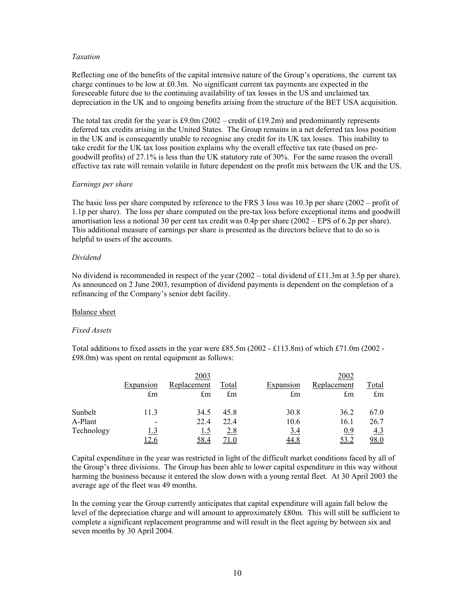#### *Taxation*

Reflecting one of the benefits of the capital intensive nature of the Group's operations, the current tax charge continues to be low at £0.3m. No significant current tax payments are expected in the foreseeable future due to the continuing availability of tax losses in the US and unclaimed tax depreciation in the UK and to ongoing benefits arising from the structure of the BET USA acquisition.

The total tax credit for the year is £9.0m (2002 – credit of £19.2m) and predominantly represents deferred tax credits arising in the United States. The Group remains in a net deferred tax loss position in the UK and is consequently unable to recognise any credit for its UK tax losses. This inability to take credit for the UK tax loss position explains why the overall effective tax rate (based on pregoodwill profits) of 27.1% is less than the UK statutory rate of 30%. For the same reason the overall effective tax rate will remain volatile in future dependent on the profit mix between the UK and the US.

#### *Earnings per share*

The basic loss per share computed by reference to the FRS 3 loss was 10.3p per share (2002 – profit of 1.1p per share). The loss per share computed on the pre-tax loss before exceptional items and goodwill amortisation less a notional 30 per cent tax credit was 0.4p per share (2002 – EPS of 6.2p per share). This additional measure of earnings per share is presented as the directors believe that to do so is helpful to users of the accounts.

#### *Dividend*

No dividend is recommended in respect of the year  $(2002 - \text{total dividend of } £11.3 \text{m at } 3.5 \text{p per share}).$ As announced on 2 June 2003, resumption of dividend payments is dependent on the completion of a refinancing of the Company's senior debt facility.

# Balance sheet

#### *Fixed Assets*

Total additions to fixed assets in the year were £85.5m (2002 - £113.8m) of which £71.0m (2002 - £98.0m) was spent on rental equipment as follows:

|            |                                         | 2003                       |                                      |                                         | 2002              |                             |
|------------|-----------------------------------------|----------------------------|--------------------------------------|-----------------------------------------|-------------------|-----------------------------|
|            | <b>Expansion</b><br>$\operatorname{fm}$ | Replacement<br>$\pounds$ m | <u>Total</u><br>$\mathop{\text{fm}}$ | <b>Expansion</b><br>$\operatorname{fm}$ | Replacement<br>£m | <u>Total</u><br>$\pounds$ m |
| Sunbelt    | 11.3                                    | 34.5                       | 45.8                                 | 30.8                                    | 36.2              | 67.0                        |
| A-Plant    | -                                       | 22.4                       | 22.4                                 | 10.6                                    | 16.1              | 26.7                        |
| Technology | 1.3                                     | 1.5                        | 2.8                                  | 3.4                                     | 0.9               | <u>4.3</u>                  |
|            | <u>12.6</u>                             | 58.4                       | <u>71.0</u>                          | <u>44.8</u>                             | <u>53.2</u>       | <u>98.0</u>                 |

Capital expenditure in the year was restricted in light of the difficult market conditions faced by all of the Group's three divisions. The Group has been able to lower capital expenditure in this way without harming the business because it entered the slow down with a young rental fleet. At 30 April 2003 the average age of the fleet was 49 months.

In the coming year the Group currently anticipates that capital expenditure will again fall below the level of the depreciation charge and will amount to approximately £80m. This will still be sufficient to complete a significant replacement programme and will result in the fleet ageing by between six and seven months by 30 April 2004.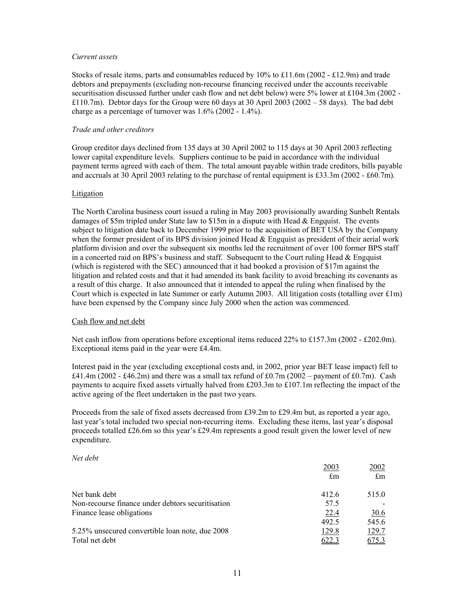#### *Current assets*

Stocks of resale items, parts and consumables reduced by 10% to £11.6m (2002 - £12.9m) and trade debtors and prepayments (excluding non-recourse financing received under the accounts receivable securitisation discussed further under cash flow and net debt below) were 5% lower at £104.3m (2002 - £110.7m). Debtor days for the Group were 60 days at 30 April 2003 (2002 – 58 days). The bad debt charge as a percentage of turnover was  $1.6\%$  (2002 -  $1.4\%$ ).

#### *Trade and other creditors*

Group creditor days declined from 135 days at 30 April 2002 to 115 days at 30 April 2003 reflecting lower capital expenditure levels. Suppliers continue to be paid in accordance with the individual payment terms agreed with each of them. The total amount payable within trade creditors, bills payable and accruals at 30 April 2003 relating to the purchase of rental equipment is £33.3m (2002 - £60.7m).

#### Litigation

The North Carolina business court issued a ruling in May 2003 provisionally awarding Sunbelt Rentals damages of \$5m tripled under State law to \$15m in a dispute with Head & Engquist. The events subject to litigation date back to December 1999 prior to the acquisition of BET USA by the Company when the former president of its BPS division joined Head  $\&$  Engquist as president of their aerial work platform division and over the subsequent six months led the recruitment of over 100 former BPS staff in a concerted raid on BPS's business and staff. Subsequent to the Court ruling Head  $\&$  Engquist (which is registered with the SEC) announced that it had booked a provision of \$17m against the litigation and related costs and that it had amended its bank facility to avoid breaching its covenants as a result of this charge. It also announced that it intended to appeal the ruling when finalised by the Court which is expected in late Summer or early Autumn 2003. All litigation costs (totalling over £1m) have been expensed by the Company since July 2000 when the action was commenced.

#### Cash flow and net debt

Net cash inflow from operations before exceptional items reduced 22% to £157.3m (2002 - £202.0m). Exceptional items paid in the year were £4.4m.

Interest paid in the year (excluding exceptional costs and, in 2002, prior year BET lease impact) fell to £41.4m (2002 - £46.2m) and there was a small tax refund of £0.7m (2002 – payment of £0.7m). Cash payments to acquire fixed assets virtually halved from £203.3m to £107.1m reflecting the impact of the active ageing of the fleet undertaken in the past two years.

Proceeds from the sale of fixed assets decreased from £39.2m to £29.4m but, as reported a year ago, last year's total included two special non-recurring items. Excluding these items, last year's disposal proceeds totalled £26.6m so this year's £29.4m represents a good result given the lower level of new expenditure.

#### *Net debt*

|                                                   | 2003<br>$\mathop{\text{fm}}$ | 2002<br>$\mathbf{f}_{\text{m}}$ |
|---------------------------------------------------|------------------------------|---------------------------------|
| Net bank debt                                     | 412.6                        | 515.0                           |
| Non-recourse finance under debtors securitisation | 57.5                         |                                 |
| Finance lease obligations                         | 22.4                         | <u>30.6</u>                     |
|                                                   | 492.5                        | 545.6                           |
| 5.25% unsecured convertible loan note, due 2008   | 129.8                        | 129.7                           |
| Total net debt                                    | 622.3                        | 675.3                           |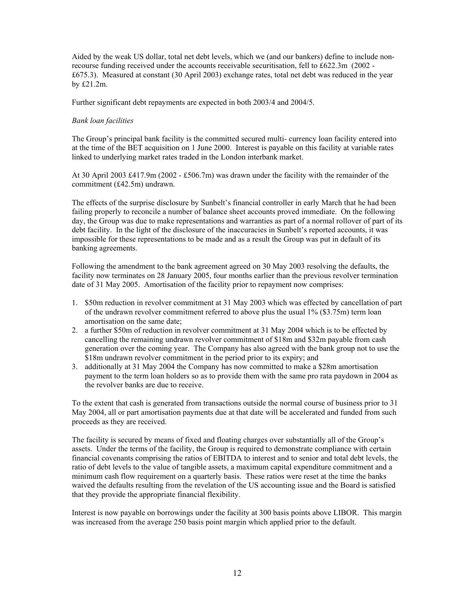Aided by the weak US dollar, total net debt levels, which we (and our bankers) define to include nonrecourse funding received under the accounts receivable securitisation, fell to £622.3m (2002 - £675.3). Measured at constant (30 April 2003) exchange rates, total net debt was reduced in the year by £21.2m.

Further significant debt repayments are expected in both 2003/4 and 2004/5.

#### *Bank loan facilities*

The Group's principal bank facility is the committed secured multi- currency loan facility entered into at the time of the BET acquisition on 1 June 2000. Interest is payable on this facility at variable rates linked to underlying market rates traded in the London interbank market.

At 30 April 2003 £417.9m (2002 - £506.7m) was drawn under the facility with the remainder of the commitment (£42.5m) undrawn.

The effects of the surprise disclosure by Sunbelt's financial controller in early March that he had been failing properly to reconcile a number of balance sheet accounts proved immediate. On the following day, the Group was due to make representations and warranties as part of a normal rollover of part of its debt facility. In the light of the disclosure of the inaccuracies in Sunbelt's reported accounts, it was impossible for these representations to be made and as a result the Group was put in default of its banking agreements.

Following the amendment to the bank agreement agreed on 30 May 2003 resolving the defaults, the facility now terminates on 28 January 2005, four months earlier than the previous revolver termination date of 31 May 2005. Amortisation of the facility prior to repayment now comprises:

- 1. \$50m reduction in revolver commitment at 31 May 2003 which was effected by cancellation of part of the undrawn revolver commitment referred to above plus the usual 1% (\$3.75m) term loan amortisation on the same date;
- 2. a further \$50m of reduction in revolver commitment at 31 May 2004 which is to be effected by cancelling the remaining undrawn revolver commitment of \$18m and \$32m payable from cash generation over the coming year. The Company has also agreed with the bank group not to use the \$18m undrawn revolver commitment in the period prior to its expiry; and
- 3. additionally at 31 May 2004 the Company has now committed to make a \$28m amortisation payment to the term loan holders so as to provide them with the same pro rata paydown in 2004 as the revolver banks are due to receive.

To the extent that cash is generated from transactions outside the normal course of business prior to 31 May 2004, all or part amortisation payments due at that date will be accelerated and funded from such proceeds as they are received.

The facility is secured by means of fixed and floating charges over substantially all of the Group's assets. Under the terms of the facility, the Group is required to demonstrate compliance with certain financial covenants comprising the ratios of EBITDA to interest and to senior and total debt levels, the ratio of debt levels to the value of tangible assets, a maximum capital expenditure commitment and a minimum cash flow requirement on a quarterly basis. These ratios were reset at the time the banks waived the defaults resulting from the revelation of the US accounting issue and the Board is satisfied that they provide the appropriate financial flexibility.

Interest is now payable on borrowings under the facility at 300 basis points above LIBOR. This margin was increased from the average 250 basis point margin which applied prior to the default.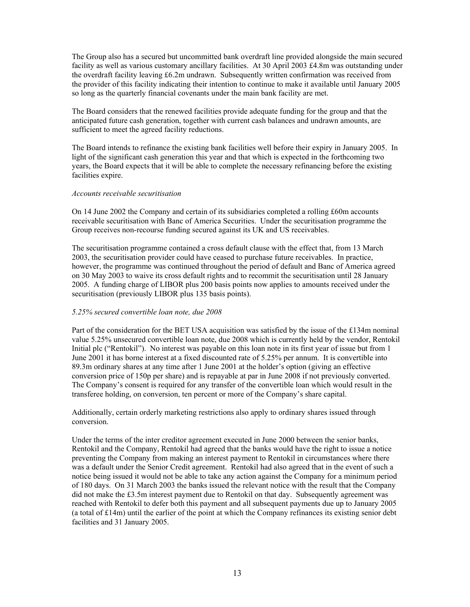The Group also has a secured but uncommitted bank overdraft line provided alongside the main secured facility as well as various customary ancillary facilities. At 30 April 2003 £4.8m was outstanding under the overdraft facility leaving £6.2m undrawn. Subsequently written confirmation was received from the provider of this facility indicating their intention to continue to make it available until January 2005 so long as the quarterly financial covenants under the main bank facility are met.

The Board considers that the renewed facilities provide adequate funding for the group and that the anticipated future cash generation, together with current cash balances and undrawn amounts, are sufficient to meet the agreed facility reductions.

The Board intends to refinance the existing bank facilities well before their expiry in January 2005. In light of the significant cash generation this year and that which is expected in the forthcoming two years, the Board expects that it will be able to complete the necessary refinancing before the existing facilities expire.

#### *Accounts receivable securitisation*

On 14 June 2002 the Company and certain of its subsidiaries completed a rolling £60m accounts receivable securitisation with Banc of America Securities. Under the securitisation programme the Group receives non-recourse funding secured against its UK and US receivables.

The securitisation programme contained a cross default clause with the effect that, from 13 March 2003, the securitisation provider could have ceased to purchase future receivables. In practice, however, the programme was continued throughout the period of default and Banc of America agreed on 30 May 2003 to waive its cross default rights and to recommit the securitisation until 28 January 2005. A funding charge of LIBOR plus 200 basis points now applies to amounts received under the securitisation (previously LIBOR plus 135 basis points).

#### *5.25% secured convertible loan note, due 2008*

Part of the consideration for the BET USA acquisition was satisfied by the issue of the £134m nominal value 5.25% unsecured convertible loan note, due 2008 which is currently held by the vendor, Rentokil Initial plc ("Rentokil"). No interest was payable on this loan note in its first year of issue but from 1 June 2001 it has borne interest at a fixed discounted rate of 5.25% per annum. It is convertible into 89.3m ordinary shares at any time after 1 June 2001 at the holder's option (giving an effective conversion price of 150p per share) and is repayable at par in June 2008 if not previously converted. The Company's consent is required for any transfer of the convertible loan which would result in the transferee holding, on conversion, ten percent or more of the Company's share capital.

Additionally, certain orderly marketing restrictions also apply to ordinary shares issued through conversion.

Under the terms of the inter creditor agreement executed in June 2000 between the senior banks, Rentokil and the Company, Rentokil had agreed that the banks would have the right to issue a notice preventing the Company from making an interest payment to Rentokil in circumstances where there was a default under the Senior Credit agreement. Rentokil had also agreed that in the event of such a notice being issued it would not be able to take any action against the Company for a minimum period of 180 days. On 31 March 2003 the banks issued the relevant notice with the result that the Company did not make the £3.5m interest payment due to Rentokil on that day. Subsequently agreement was reached with Rentokil to defer both this payment and all subsequent payments due up to January 2005 (a total of  $£14m$ ) until the earlier of the point at which the Company refinances its existing senior debt facilities and 31 January 2005.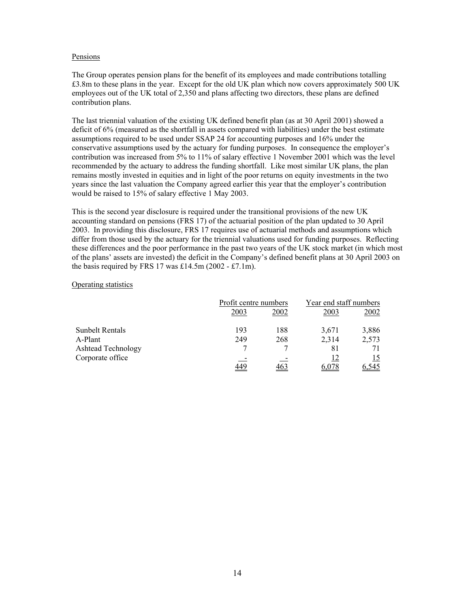#### Pensions

The Group operates pension plans for the benefit of its employees and made contributions totalling £3.8m to these plans in the year. Except for the old UK plan which now covers approximately 500 UK employees out of the UK total of 2,350 and plans affecting two directors, these plans are defined contribution plans.

The last triennial valuation of the existing UK defined benefit plan (as at 30 April 2001) showed a deficit of 6% (measured as the shortfall in assets compared with liabilities) under the best estimate assumptions required to be used under SSAP 24 for accounting purposes and 16% under the conservative assumptions used by the actuary for funding purposes. In consequence the employer's contribution was increased from 5% to 11% of salary effective 1 November 2001 which was the level recommended by the actuary to address the funding shortfall. Like most similar UK plans, the plan remains mostly invested in equities and in light of the poor returns on equity investments in the two years since the last valuation the Company agreed earlier this year that the employer's contribution would be raised to 15% of salary effective 1 May 2003.

This is the second year disclosure is required under the transitional provisions of the new UK accounting standard on pensions (FRS 17) of the actuarial position of the plan updated to 30 April 2003. In providing this disclosure, FRS 17 requires use of actuarial methods and assumptions which differ from those used by the actuary for the triennial valuations used for funding purposes. Reflecting these differences and the poor performance in the past two years of the UK stock market (in which most of the plans' assets are invested) the deficit in the Company's defined benefit plans at 30 April 2003 on the basis required by FRS 17 was  $£14.5m(2002 - £7.1m)$ .

#### Operating statistics

|                        |            | Profit centre numbers |       | Year end staff numbers |
|------------------------|------------|-----------------------|-------|------------------------|
|                        | 2003       | 2002                  | 2003  | 2002                   |
| <b>Sunbelt Rentals</b> | 193        | 188                   | 3,671 | 3,886                  |
| A-Plant                | 249        | 268                   | 2,314 | 2,573                  |
| Ashtead Technology     |            |                       | 81    | 71                     |
| Corporate office       |            |                       |       | 15                     |
|                        | <u>449</u> |                       |       | .545                   |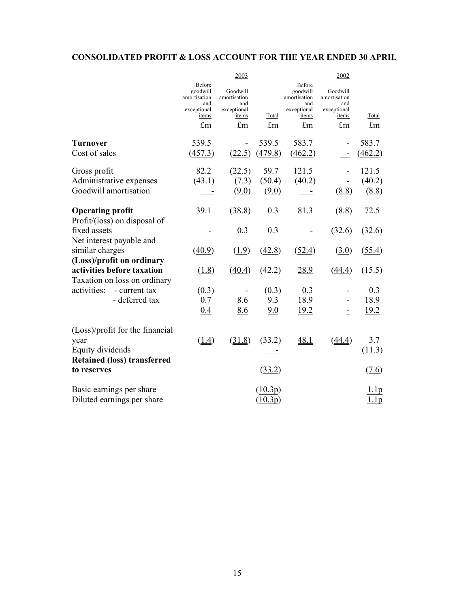# **CONSOLIDATED PROFIT & LOSS ACCOUNT FOR THE YEAR ENDED 30 APRIL**

|                                    |                                           | 2003                            |                       |                                           | 2002                            |         |
|------------------------------------|-------------------------------------------|---------------------------------|-----------------------|-------------------------------------------|---------------------------------|---------|
|                                    | Before<br>goodwill<br>amortisation<br>and | Goodwill<br>amortisation<br>and |                       | Before<br>goodwill<br>amortisation<br>and | Goodwill<br>amortisation<br>and |         |
|                                    | exceptional                               | exceptional                     |                       | exceptional                               | exceptional                     |         |
|                                    | items                                     | items                           | Total                 | items                                     | items                           | Total   |
|                                    | £m                                        | £m                              | £m                    | £m                                        | £m                              | £m      |
| Turnover                           | 539.5                                     |                                 | 539.5                 | 583.7                                     |                                 | 583.7   |
| Cost of sales                      | (457.3)                                   | (22.5)                          | (479.8)               | (462.2)                                   | $\blacksquare$                  | (462.2) |
|                                    |                                           |                                 |                       |                                           |                                 |         |
| Gross profit                       | 82.2                                      | (22.5)                          | 59.7                  | 121.5                                     |                                 | 121.5   |
| Administrative expenses            | (43.1)                                    | (7.3)                           | (50.4)                | (40.2)                                    |                                 | (40.2)  |
| Goodwill amortisation              |                                           | (9.0)                           | (9.0)                 |                                           | (8.8)                           | (8.8)   |
|                                    |                                           |                                 |                       |                                           |                                 |         |
| <b>Operating profit</b>            | 39.1                                      | (38.8)                          | 0.3                   | 81.3                                      | (8.8)                           | 72.5    |
| Profit/(loss) on disposal of       |                                           |                                 |                       |                                           |                                 |         |
| fixed assets                       |                                           | 0.3                             | 0.3                   |                                           | (32.6)                          | (32.6)  |
| Net interest payable and           |                                           |                                 |                       |                                           |                                 |         |
| similar charges                    | (40.9)                                    | (1.9)                           | (42.8)                | (52.4)                                    | (3.0)                           | (55.4)  |
| (Loss)/profit on ordinary          |                                           |                                 |                       |                                           |                                 |         |
| activities before taxation         | (1.8)                                     | (40.4)                          | (42.2)                | 28.9                                      | (44.4)                          | (15.5)  |
| Taxation on loss on ordinary       |                                           |                                 |                       |                                           |                                 |         |
| activities:<br>- current tax       | (0.3)                                     |                                 | (0.3)                 | 0.3                                       |                                 | 0.3     |
| - deferred tax                     | 0.7                                       | <u>8.6</u>                      | 9.3                   | <u>18.9</u>                               | $\equiv$                        | 18.9    |
|                                    | 0.4                                       | 8.6                             | 9.0                   | 19.2                                      | $\overline{a}$                  | 19.2    |
|                                    |                                           |                                 |                       |                                           |                                 |         |
| (Loss)/profit for the financial    |                                           |                                 |                       |                                           |                                 |         |
| year                               | $\left(\underline{1.4}\right)$            | (31.8)                          | (33.2)                | 48.1                                      | (44.4)                          | 3.7     |
| Equity dividends                   |                                           |                                 |                       |                                           |                                 | (11.3)  |
| <b>Retained (loss) transferred</b> |                                           |                                 |                       |                                           |                                 |         |
| to reserves                        |                                           |                                 | (33.2)                |                                           |                                 | (7.6)   |
| Basic earnings per share           |                                           |                                 | (10.3p)               |                                           |                                 | 1.1p    |
| Diluted earnings per share         |                                           |                                 | $(\underline{10.3p})$ |                                           |                                 | 1.1p    |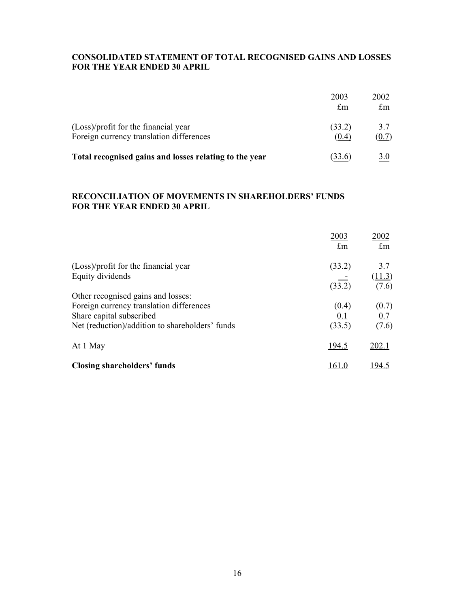# **CONSOLIDATED STATEMENT OF TOTAL RECOGNISED GAINS AND LOSSES FOR THE YEAR ENDED 30 APRIL**

|                                                                                  | 2003<br>$\pounds$ m | 2002<br>$\pounds$ m |
|----------------------------------------------------------------------------------|---------------------|---------------------|
| (Loss)/profit for the financial year<br>Foreign currency translation differences | (33.2)<br>(0.4)     | 3.7<br>(0.7)        |
| Total recognised gains and losses relating to the year                           |                     |                     |

# **RECONCILIATION OF MOVEMENTS IN SHAREHOLDERS' FUNDS FOR THE YEAR ENDED 30 APRIL**

|                                                                                                                                                               | 2003<br>$\pounds$ m    | 2002<br>$\pounds$ m    |
|---------------------------------------------------------------------------------------------------------------------------------------------------------------|------------------------|------------------------|
| (Loss)/profit for the financial year<br>Equity dividends                                                                                                      | (33.2)<br>(33.2)       | 3.7<br>(11.3)<br>(7.6) |
| Other recognised gains and losses:<br>Foreign currency translation differences<br>Share capital subscribed<br>Net (reduction)/addition to shareholders' funds | (0.4)<br>0.1<br>(33.5) | (0.7)<br>0.7<br>(7.6)  |
| At 1 May                                                                                                                                                      | 194.5                  | 202.1                  |
| <b>Closing shareholders' funds</b>                                                                                                                            |                        | .94.5                  |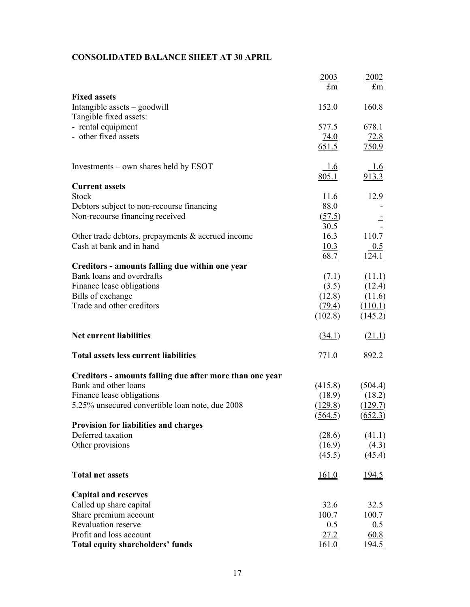# **CONSOLIDATED BALANCE SHEET AT 30 APRIL**

|                                                          | 2003         | 2002                |
|----------------------------------------------------------|--------------|---------------------|
|                                                          | $\pounds$ m  | $\pounds$ m         |
| <b>Fixed assets</b>                                      |              |                     |
| Intangible assets - goodwill                             | 152.0        | 160.8               |
| Tangible fixed assets:                                   |              |                     |
| - rental equipment                                       | 577.5        | 678.1               |
| - other fixed assets                                     | 74.0         | 72.8                |
|                                                          | 651.5        | 750.9               |
| Investments – own shares held by ESOT                    | 1.6          | 1.6                 |
|                                                          | 805.1        | 913.3               |
| <b>Current assets</b>                                    |              |                     |
| <b>Stock</b>                                             | 11.6         | 12.9                |
| Debtors subject to non-recourse financing                | 88.0         |                     |
| Non-recourse financing received                          | (57.5)       |                     |
|                                                          | 30.5         |                     |
| Other trade debtors, prepayments $\&$ accrued income     | 16.3         | 110.7               |
| Cash at bank and in hand                                 | 10.3         | 0.5                 |
|                                                          | 68.7         | 124.1               |
| Creditors - amounts falling due within one year          |              |                     |
| Bank loans and overdrafts                                | (7.1)        | (11.1)              |
| Finance lease obligations                                | (3.5)        | (12.4)              |
| Bills of exchange                                        | (12.8)       | (11.6)              |
| Trade and other creditors                                | (79.4)       | (110.1)             |
|                                                          | (102.8)      | (145.2)             |
| <b>Net current liabilities</b>                           | (34.1)       | (21.1)              |
| <b>Total assets less current liabilities</b>             | 771.0        | 892.2               |
| Creditors - amounts falling due after more than one year |              |                     |
| Bank and other loans                                     | (415.8)      | (504.4)             |
| Finance lease obligations                                | (18.9)       | (18.2)              |
| 5.25% unsecured convertible loan note, due 2008          | (129.8)      | (129.7)             |
|                                                          | (564.5)      | (652.3)             |
| <b>Provision for liabilities and charges</b>             |              |                     |
| Deferred taxation                                        | (28.6)       | (41.1)              |
| Other provisions                                         | (16.9)       | (4.3)               |
|                                                          | (45.5)       | $\left(45.4\right)$ |
| <b>Total net assets</b>                                  | 161.0        | <u>194.5</u>        |
| <b>Capital and reserves</b>                              |              |                     |
| Called up share capital                                  | 32.6         | 32.5                |
| Share premium account                                    | 100.7        | 100.7               |
| <b>Revaluation reserve</b>                               | 0.5          | 0.5                 |
| Profit and loss account                                  | 27.2         | 60.8                |
| <b>Total equity shareholders' funds</b>                  | <u>161.0</u> | <u>194.5</u>        |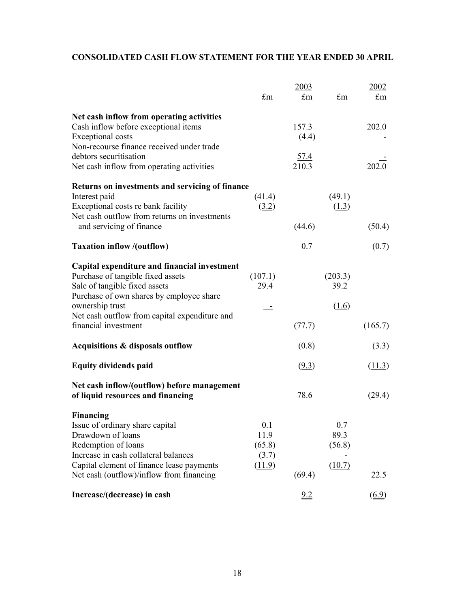# **CONSOLIDATED CASH FLOW STATEMENT FOR THE YEAR ENDED 30 APRIL**

|                                                                                                                                                                | £m                             | 2003<br>$\pounds$ m  | £m                    | 2002<br>£m          |
|----------------------------------------------------------------------------------------------------------------------------------------------------------------|--------------------------------|----------------------|-----------------------|---------------------|
|                                                                                                                                                                |                                |                      |                       |                     |
| Net cash inflow from operating activities<br>Cash inflow before exceptional items<br><b>Exceptional costs</b><br>Non-recourse finance received under trade     |                                | 157.3<br>(4.4)       |                       | 202.0               |
| debtors securitisation<br>Net cash inflow from operating activities                                                                                            |                                | $\frac{57.4}{210.3}$ |                       | 2020                |
| Returns on investments and servicing of finance<br>Interest paid<br>Exceptional costs re bank facility<br>Net cash outflow from returns on investments         | (41.4)<br>(3.2)                |                      | (49.1)<br>(1.3)       |                     |
| and servicing of finance                                                                                                                                       |                                | (44.6)               |                       | (50.4)              |
| <b>Taxation inflow /(outflow)</b>                                                                                                                              |                                | 0.7                  |                       | (0.7)               |
| Capital expenditure and financial investment<br>Purchase of tangible fixed assets<br>Sale of tangible fixed assets<br>Purchase of own shares by employee share | (107.1)<br>29.4                |                      | (203.3)<br>39.2       |                     |
| ownership trust<br>Net cash outflow from capital expenditure and                                                                                               |                                |                      | (1.6)                 |                     |
| financial investment                                                                                                                                           |                                | (77.7)               |                       | (165.7)             |
| Acquisitions & disposals outflow                                                                                                                               |                                | (0.8)                |                       | (3.3)               |
| <b>Equity dividends paid</b>                                                                                                                                   |                                | (9.3)                |                       | (11.3)              |
| Net cash inflow/(outflow) before management<br>of liquid resources and financing                                                                               |                                | 78.6                 |                       | (29.4)              |
| <b>Financing</b><br>Issue of ordinary share capital<br>Drawdown of loans<br>Redemption of loans<br>Increase in cash collateral balances                        | 0.1<br>11.9<br>(65.8)<br>(3.7) |                      | 0.7<br>89.3<br>(56.8) |                     |
| Capital element of finance lease payments<br>Net cash (outflow)/inflow from financing                                                                          | (11.9)                         | (69.4)               | (10.7)                | <u>22.5</u>         |
| Increase/(decrease) in cash                                                                                                                                    |                                | 9.2                  |                       | $\underline{(6.9)}$ |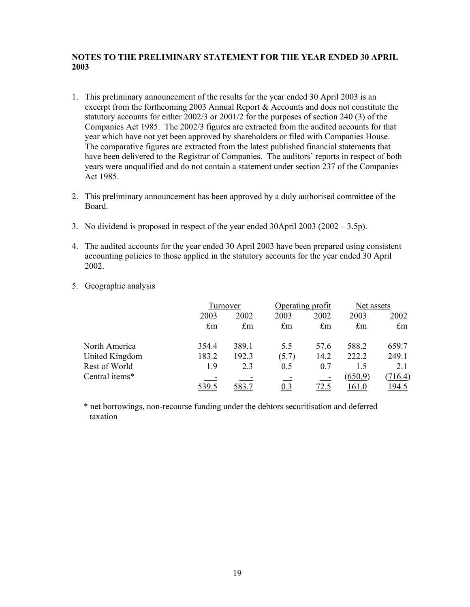# **NOTES TO THE PRELIMINARY STATEMENT FOR THE YEAR ENDED 30 APRIL 2003**

- 1. This preliminary announcement of the results for the year ended 30 April 2003 is an excerpt from the forthcoming 2003 Annual Report & Accounts and does not constitute the statutory accounts for either 2002/3 or 2001/2 for the purposes of section 240 (3) of the Companies Act 1985. The 2002/3 figures are extracted from the audited accounts for that year which have not yet been approved by shareholders or filed with Companies House. The comparative figures are extracted from the latest published financial statements that have been delivered to the Registrar of Companies. The auditors' reports in respect of both years were unqualified and do not contain a statement under section 237 of the Companies Act 1985.
- 2. This preliminary announcement has been approved by a duly authorised committee of the Board.
- 3. No dividend is proposed in respect of the year ended 30April 2003 (2002 3.5p).
- 4. The audited accounts for the year ended 30 April 2003 have been prepared using consistent accounting policies to those applied in the statutory accounts for the year ended 30 April 2002.
- 5. Geographic analysis

|                |             | Turnover    |             | Operating profit |              | Net assets    |  |
|----------------|-------------|-------------|-------------|------------------|--------------|---------------|--|
|                | 2003        | 2002        | 2003        | 2002             | 2003         | <u> 2002 </u> |  |
|                | $\pounds$ m | $\pounds$ m | $\pounds$ m | $\pounds$ m      | $\pounds$ m  | $\pounds$ m   |  |
| North America  | 354.4       | 389.1       | 5.5         | 57.6             | 588.2        | 659.7         |  |
| United Kingdom | 183.2       | 192.3       | (5.7)       | 14.2             | 222.2        | 249.1         |  |
| Rest of World  | 1.9         | 2.3         | 0.5         | 0.7              | 1.5          | 2.1           |  |
| Central items* |             |             |             |                  | (650.9)      | 716.4)        |  |
|                | 539.5       | 583.7       | 0.3         | 72.5             | <u>161.0</u> | <u> 194.5</u> |  |

\* net borrowings, non-recourse funding under the debtors securitisation and deferred taxation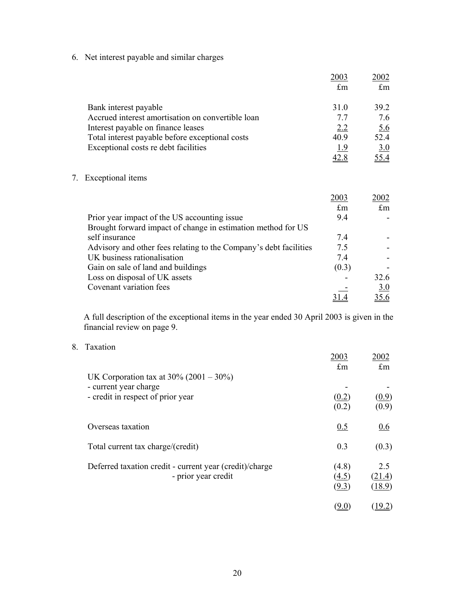6. Net interest payable and similar charges

|                                                   | 2003        | 2002              |
|---------------------------------------------------|-------------|-------------------|
|                                                   | $\pounds$ m | $\pounds$ m       |
| Bank interest payable                             | 31.0        | 39.2              |
| Accrued interest amortisation on convertible loan | 77          | 7.6               |
| Interest payable on finance leases                | 2.2         | $\underline{5.6}$ |
| Total interest payable before exceptional costs   | 40.9        | 52.4              |
| Exceptional costs re debt facilities              | 1.9         | 3.0               |
|                                                   | <u>42.8</u> | <u>55.4</u>       |
| Exceptional items                                 |             |                   |

|                                                                   | 2003  | 2002 |
|-------------------------------------------------------------------|-------|------|
|                                                                   | £m    | £m   |
| Prior year impact of the US accounting issue.                     | 94    |      |
| Brought forward impact of change in estimation method for US      |       |      |
| self insurance                                                    | 74    |      |
| Advisory and other fees relating to the Company's debt facilities | 7.5   |      |
| UK business rationalisation                                       | 74    |      |
| Gain on sale of land and buildings                                | (0.3) |      |
| Loss on disposal of UK assets                                     |       | 32.6 |
| Covenant variation fees                                           |       | 3.0  |
|                                                                   |       |      |

A full description of the exceptional items in the year ended 30 April 2003 is given in the financial review on page 9.

8. Taxation

7. Exceptional items

|                                                                                                         | 2003<br>$\pounds$ m     | 2002<br>$\pounds$ m     |
|---------------------------------------------------------------------------------------------------------|-------------------------|-------------------------|
| UK Corporation tax at $30\%$ (2001 – 30%)<br>- current year charge<br>- credit in respect of prior year | (0.2)<br>(0.2)          | (0.9)<br>(0.9)          |
| Overseas taxation                                                                                       | 0.5                     | 0.6                     |
| Total current tax charge/(credit)                                                                       | 0.3                     | (0.3)                   |
| Deferred taxation credit - current year (credit)/charge<br>- prior year credit                          | (4.8)<br>(4.5)<br>(9.3) | 2.5<br>(21.4)<br>(18.9) |
|                                                                                                         | <u>(9.0)</u>            | 19.2)                   |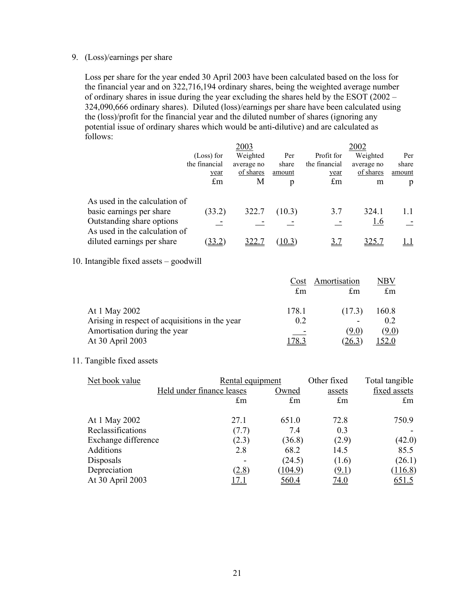## 9. (Loss)/earnings per share

Loss per share for the year ended 30 April 2003 have been calculated based on the loss for the financial year and on 322,716,194 ordinary shares, being the weighted average number of ordinary shares in issue during the year excluding the shares held by the ESOT (2002 – 324,090,666 ordinary shares). Diluted (loss)/earnings per share have been calculated using the (loss)/profit for the financial year and the diluted number of shares (ignoring any potential issue of ordinary shares which would be anti-dilutive) and are calculated as follows:

|                                                            |                   | 2003       |        |               | 2002       |        |
|------------------------------------------------------------|-------------------|------------|--------|---------------|------------|--------|
|                                                            | (Loss) for        | Weighted   | Per    | Profit for    | Weighted   | Per    |
|                                                            | the financial     | average no | share  | the financial | average no | share  |
|                                                            | year              | of shares  | amount | year          | of shares  | amount |
|                                                            | $\pounds$ m       | М          | p      | $\pounds$ m   | m          | p      |
| As used in the calculation of                              |                   |            |        |               |            |        |
| basic earnings per share                                   | (33.2)            | 322.7      | (10.3) | 3.7           | 324.1      |        |
| Outstanding share options<br>As used in the calculation of |                   |            |        |               | <u>1.6</u> |        |
| diluted earnings per share                                 | 33.2 <sup>-</sup> |            | 10.3)  |               |            |        |

10. Intangible fixed assets – goodwill

|                                                | Cost        | Amortisation | NBV            |
|------------------------------------------------|-------------|--------------|----------------|
|                                                | $\pounds$ m | £m           | $\pounds$ m    |
| At 1 May 2002                                  | 178.1       | (17.3)       | 160.8          |
| Arising in respect of acquisitions in the year | 0.2         |              | 0 <sub>2</sub> |
| Amortisation during the year                   |             | (9.0)        | <u>(9.0)</u>   |
| At 30 April 2003                               |             | <u>26.5</u>  |                |

# 11. Tangible fixed assets

| Net book value      |                           | Other fixed<br>Rental equipment |              | Total tangible |
|---------------------|---------------------------|---------------------------------|--------------|----------------|
|                     | Held under finance leases | Owned                           | assets       | fixed assets   |
|                     | $\pounds$ m               | $\pounds$ m                     | $\pounds$ m  | $\pounds$ m    |
| At 1 May 2002       | 27.1                      | 651.0                           | 72.8         | 750.9          |
| Reclassifications   | (7.7)                     | 7.4                             | 0.3          |                |
| Exchange difference | (2.3)                     | (36.8)                          | (2.9)        | (42.0)         |
| Additions           | 2.8                       | 68.2                            | 14.5         | 85.5           |
| Disposals           |                           | (24.5)                          | (1.6)        | (26.1)         |
| Depreciation        | (2.8)                     | (104.9)                         | <u>(9.1)</u> | (116.8)        |
| At 30 April 2003    |                           | <u>560.4</u>                    | <u>74.0</u>  | <u>651.5</u>   |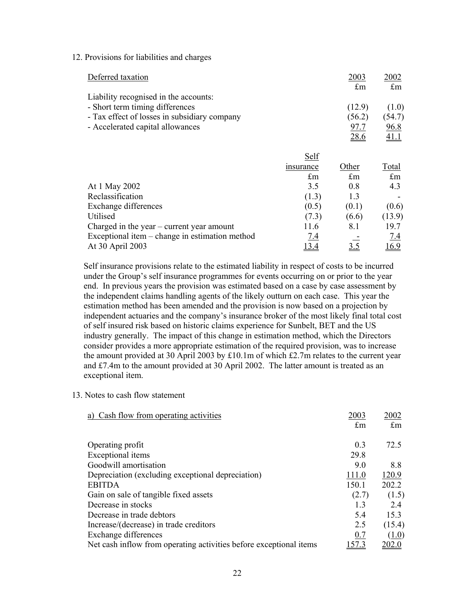#### 12. Provisions for liabilities and charges

| Deferred taxation                              |             | 2003        | 2002         |
|------------------------------------------------|-------------|-------------|--------------|
|                                                |             | $\pounds$ m | $\pounds$ m  |
| Liability recognised in the accounts:          |             |             |              |
| - Short term timing differences                |             | (12.9)      | (1.0)        |
| - Tax effect of losses in subsidiary company   |             | (56.2)      | (54.7)       |
| - Accelerated capital allowances               |             | <u>97.7</u> | 96.8         |
|                                                |             | 28.6        | 41.1         |
|                                                |             |             |              |
|                                                | Self        |             |              |
|                                                | insurance   | Other       | <b>Total</b> |
|                                                | $\pounds$ m | $\pounds$ m | £m           |
| At 1 May 2002                                  | 3.5         | 0.8         | 4.3          |
| Reclassification                               | (1.3)       | 1.3         |              |
| Exchange differences                           | (0.5)       | (0.1)       | (0.6)        |
| Utilised                                       | (7.3)       | (6.6)       | (13.9)       |
| Charged in the year $-$ current year amount    | 11.6        | 8.1         | 19.7         |
| Exceptional item – change in estimation method | <u>7.4</u>  |             | 7.4          |
| At 30 April 2003                               | 13.4        | 3.5         | 16.9         |

Self insurance provisions relate to the estimated liability in respect of costs to be incurred under the Group's self insurance programmes for events occurring on or prior to the year end. In previous years the provision was estimated based on a case by case assessment by the independent claims handling agents of the likely outturn on each case. This year the estimation method has been amended and the provision is now based on a projection by independent actuaries and the company's insurance broker of the most likely final total cost of self insured risk based on historic claims experience for Sunbelt, BET and the US industry generally. The impact of this change in estimation method, which the Directors consider provides a more appropriate estimation of the required provision, was to increase the amount provided at 30 April 2003 by £10.1m of which £2.7m relates to the current year and £7.4m to the amount provided at 30 April 2002. The latter amount is treated as an exceptional item.

13. Notes to cash flow statement

| 2003        | 2002          |
|-------------|---------------|
| $\pounds$ m | $\pounds$ m   |
|             |               |
| 0.3         | 72.5          |
| 29.8        |               |
| 9.0         | 8.8           |
| 111.0       | 120.9         |
| 150.1       | 202.2         |
| (2.7)       | (1.5)         |
| 13          | 24            |
| 5.4         | 15.3          |
| 2.5         | (15.4)        |
| 0.7         | (1.0)         |
| 57.3        | <u> 202.0</u> |
|             |               |